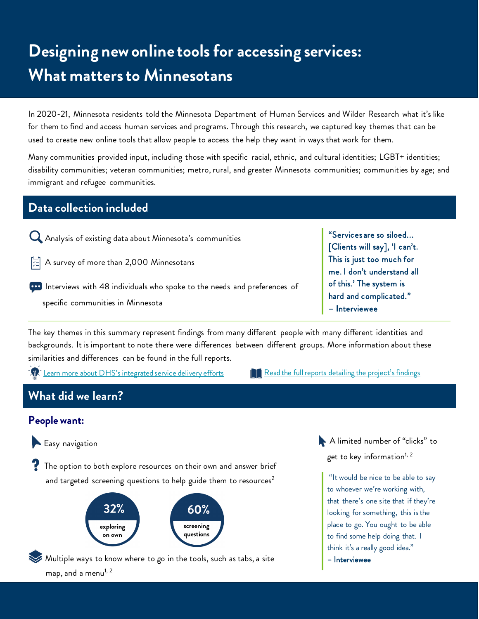# **Designing new online tools for accessing services: What matters to Minnesotans**

In 2020-21, Minnesota residents told the Minnesota Department of Human Services and Wilder Research what it's like for them to find and access human services and programs. Through this research, we captured key themes that can be used to create new online tools that allow people to access the help they want in ways that work for them.

Many communities provided input, including those with specific racial, ethnic, and cultural identities; LGBT+ identities; disability communities; veteran communities; metro, rural, and greater Minnesota communities; communities by age; and immigrant and refugee communities.

## **Data collection included**

- Analysis of existing data about Minnesota's communities
- $\boxed{\subset}$  A survey of more than 2,000 Minnesotans
- **Interviews with 48 individuals who spoke to the needs and preferences of** specific communities in Minnesota

"Services are so siloed... [Clients will say], 'I can't. This is just too much for me. I don't understand all of this.' The system is hard and complicated." – Interviewee

The key themes in this summary represent findings from many different people with many different identities and backgrounds. It is important to note there were differences between different groups. More information about these similarities and differences can be found in the full reports.

[Learn more about DHS's integrated service delivery efforts](https://mn.gov/dhs/integrated-services/) [Read the full reports detailing the project's findings](https://www.wilder.org/wilder-research/research-library/minnesota-department-human-services-integrated-services-business#study-reports)

# **What did we learn?**

#### **People want:**



The option to both explore resources on their own and answer brief and targeted screening questions to help guide them to resources<sup>2</sup>



Multiple ways to know where to go in the tools, such as tabs, a site map, and a menu<sup>1, 2</sup>

A limited number of "clicks" to get to key information<sup>1, 2</sup>

"It would be nice to be able to say to whoever we're working with, that there's one site that if they're looking for something, this is the place to go. You ought to be able to find some help doing that. I think it's a really good idea."

– Interviewee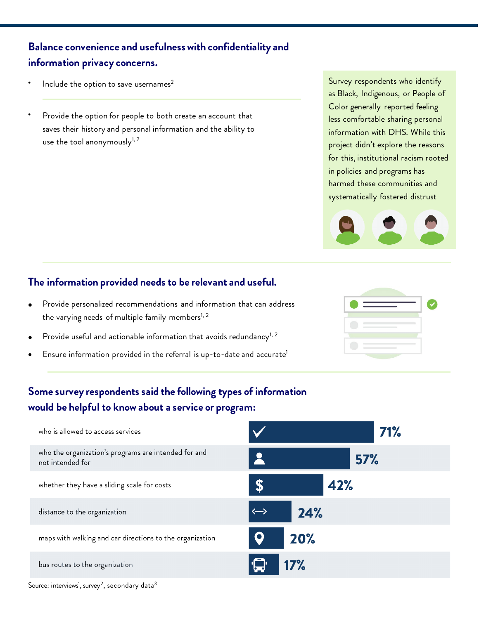## **Balance convenience and usefulness with confidentiality and information privacy concerns.**

- Include the option to save usernames $2$
- Provide the option for people to both create an account that saves their history and personal information and the ability to use the tool anonymously $^{1,2}$

## **The information provided needs to be relevant and useful.**

- Provide personalized recommendations and information that can address the varying needs of multiple family members<sup>1, 2</sup>
- Provide useful and actionable information that avoids redundancy<sup>1, 2</sup>
- Ensure information provided in the referral is up-to-date and accurate<sup>1</sup>





## **Some survey respondents said the following types of information would be helpful to know about a service or program:**



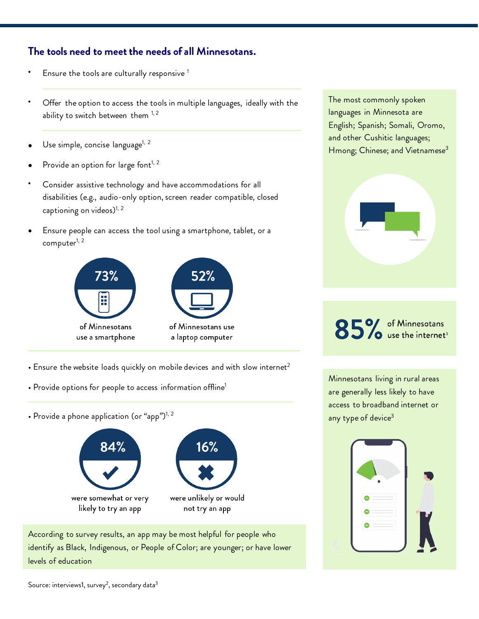### **The tools need to meet the needs of all Minnesotans.**

- Ensure the tools are culturally responsive  $1$
- Offer the option to access the tools in multiple languages, ideally with the ability to switch between them  $1, 2$
- Use simple, concise language<sup>1, 2</sup>
- Provide an option for large font $1, 2$
- Consider assistive technology and have accommodations for all disabilities (e.g., audio-only option, screen reader compatible, closed captioning on videos)<sup>1, 2</sup>
- Ensure people can access the tool using a smartphone, tablet, or a computer<sup>1, 2</sup>



- Ensure the website loads quickly on mobile devices and with slow internet<sup>2</sup>
- Provide options for people to access information offline<sup>1</sup>
- Provide a phone application (or "app") $^{1, 2}$



According to survey results, an app may be most helpful for people who identify as Black, Indigenous, or People of Color; are younger; or have lower levels of education

The most commonly spoken languages in Minnesota are English; Spanish; Somali, Oromo, and other Cushitic languages; Hmong; Chinese; and Vietnamese<sup>3</sup>



85% of Minnesotans

Minnesotans living in rural areas are generally less likely to have access to broadband internet or any type of device<sup>3</sup>